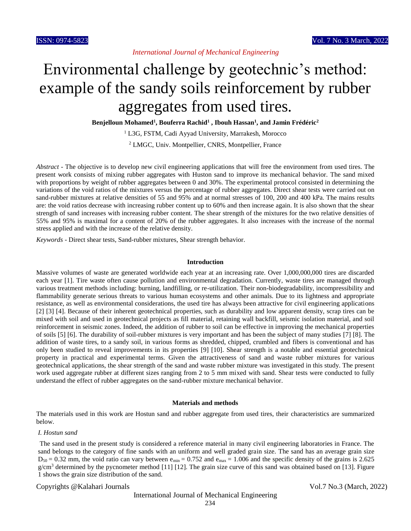# Environmental challenge by geotechnic's method: example of the sandy soils reinforcement by rubber aggregates from used tires.

**Benjelloun Mohamed<sup>1</sup> , Bouferra Rachid<sup>1</sup> , Ibouh Hassan<sup>1</sup> , and Jamin Frédéric<sup>2</sup>**

<sup>1</sup> L3G, FSTM, Cadi Ayyad University, Marrakesh, Morocco <sup>2</sup> LMGC, Univ. Montpellier, CNRS, Montpellier, France

*Abstract* - The objective is to develop new civil engineering applications that will free the environment from used tires. The present work consists of mixing rubber aggregates with Huston sand to improve its mechanical behavior. The sand mixed with proportions by weight of rubber aggregates between 0 and 30%. The experimental protocol consisted in determining the variations of the void ratios of the mixtures versus the percentage of rubber aggregates. Direct shear tests were carried out on sand-rubber mixtures at relative densities of 55 and 95% and at normal stresses of 100, 200 and 400 kPa. The mains results are: the void ratios decrease with increasing rubber content up to 60% and then increase again. It is also shown that the shear strength of sand increases with increasing rubber content. The shear strength of the mixtures for the two relative densities of 55% and 95% is maximal for a content of 20% of the rubber aggregates. It also increases with the increase of the normal stress applied and with the increase of the relative density.

*Keywords* - Direct shear tests, Sand-rubber mixtures, Shear strength behavior.

## **Introduction**

Massive volumes of waste are generated worldwide each year at an increasing rate. Over 1,000,000,000 tires are discarded each year [1]. Tire waste often cause pollution and environmental degradation. Currently, waste tires are managed through various treatment methods including: burning, landfilling, or re-utilization. Their non-biodegradability, incompressibility and flammability generate serious threats to various human ecosystems and other animals. Due to its lightness and appropriate resistance, as well as environmental considerations, the used tire has always been attractive for civil engineering applications [2] [3] [4]. Because of their inherent geotechnical properties, such as durability and low apparent density, scrap tires can be mixed with soil and used in geotechnical projects as fill material, retaining wall backfill, seismic isolation material, and soil reinforcement in seismic zones. Indeed, the addition of rubber to soil can be effective in improving the mechanical properties of soils [5] [6]. The durability of soil-rubber mixtures is very important and has been the subject of many studies [7] [8]. The addition of waste tires, to a sandy soil, in various forms as shredded, chipped, crumbled and fibers is conventional and has only been studied to reveal improvements in its properties [9] [10]. Shear strength is a notable and essential geotechnical property in practical and experimental terms. Given the attractiveness of sand and waste rubber mixtures for various geotechnical applications, the shear strength of the sand and waste rubber mixture was investigated in this study. The present work used aggregate rubber at different sizes ranging from 2 to 5 mm mixed with sand. Shear tests were conducted to fully understand the effect of rubber aggregates on the sand-rubber mixture mechanical behavior.

#### **Materials and methods**

The materials used in this work are Hostun sand and rubber aggregate from used tires, their characteristics are summarized below.

# *I. Hostun sand*

The sand used in the present study is considered a reference material in many civil engineering laboratories in France. The sand belongs to the category of fine sands with an uniform and well graded grain size. The sand has an average grain size  $D_{50} = 0.32$  mm, the void ratio can vary between  $e_{min} = 0.752$  and  $e_{max} = 1.006$  and the specific density of the grains is 2.625  $g/cm<sup>3</sup>$  determined by the pycnometer method [11] [12]. The grain size curve of this sand was obtained based on [13]. Figure 1 shows the grain size distribution of the sand.

Copyrights @Kalahari Journals Vol.7 No.3 (March, 2022)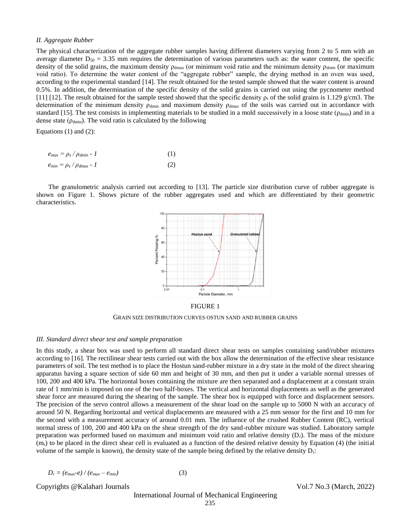# *II. Aggregate Rubber*

The physical characterization of the aggregate rubber samples having different diameters varying from 2 to 5 mm with an average diameter  $D_{50} = 3.35$  mm requires the determination of various parameters such as: the water content, the specific density of the solid grains, the maximum density  $\rho_{dmax}$  (or minimum void ratio and the minimum density  $\rho_{dmin}$  (or maximum void ratio). To determine the water content of the "aggregate rubber" sample, the drying method in an oven was used, according to the experimental standard [14]. The result obtained for the tested sample showed that the water content is around 0.5%. In addition, the determination of the specific density of the solid grains is carried out using the pycnometer method [11] [12]. The result obtained for the sample tested showed that the specific density  $\rho_s$  of the solid grains is 1.129 g/cm3. The determination of the minimum density  $\rho_{dmin}$  and maximum density  $\rho_{dmax}$  of the soils was carried out in accordance with standard [15]. The test consists in implementing materials to be studied in a mold successively in a loose state ( $\rho_{\text{dmin}}$ ) and in a dense state ( $\rho_{\text{dmin}}$ ). The void ratio is calculated by the following

Equations (1) and (2):

| $e_{max} = \rho_s / \rho_{dmin} - 1$ |  |
|--------------------------------------|--|
| $e_{min} = \rho_s / \rho_{dmax}$ - 1 |  |

The granulometric analysis carried out according to [13]. The particle size distribution curve of rubber aggregate is shown on Figure 1. Shows picture of the rubber aggregates used and which are differentiated by their geometric characteristics.



FIGURE 1

GRAIN SIZE DISTRIBUTION CURVES OSTUN SAND AND RUBBER GRAINS

#### *III. Standard direct shear test and sample preparation*

In this study, a shear box was used to perform all standard direct shear tests on samples containing sand/rubber mixtures according to [16]. The rectilinear shear tests carried out with the box allow the determination of the effective shear resistance parameters of soil. The test method is to place the Hostun sand-rubber mixture in a dry state in the mold of the direct shearing apparatus having a square section of side 60 mm and height of 30 mm, and then put it under a variable normal stresses of 100, 200 and 400 kPa. The horizontal boxes containing the mixture are then separated and a displacement at a constant strain rate of 1 mm/min is imposed on one of the two half-boxes. The vertical and horizontal displacements as well as the generated shear force are measured during the shearing of the sample. The shear box is equipped with force and displacement sensors. The precision of the servo control allows a measurement of the shear load on the sample up to 5000 N with an accuracy of around 50 N. Regarding horizontal and vertical displacements are measured with a 25 mm sensor for the first and 10 mm for the second with a measurement accuracy of around 0.01 mm. The influence of the crushed Rubber Content (RC), vertical normal stress of 100, 200 and 400 kPa on the shear strength of the dry sand-rubber mixture was studied. Laboratory sample preparation was performed based on maximum and minimum void ratio and relative density (Dr). The mass of the mixture  $(m<sub>s</sub>)$  to be placed in the direct shear cell is evaluated as a function of the desired relative density by Equation (4) (the initial volume of the sample is known), the density state of the sample being defined by the relative density  $D_r$ :

$$
D_r = (e_{max} - e)/(e_{max} - e_{min})
$$
 (3)

Copyrights @Kalahari Journals Vol.7 No.3 (March, 2022)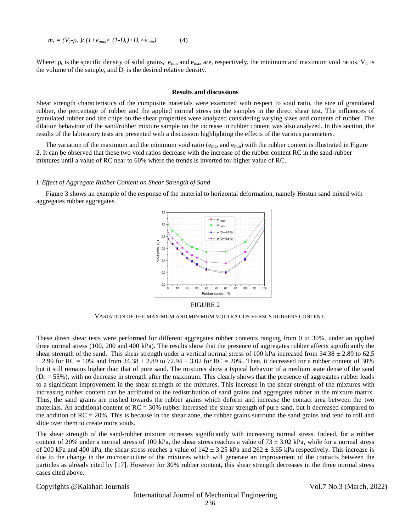$$
m_s = (V_T - \rho_s)/(1 + e_{max} \times (1 - D_r) + D_r \times e_{min})
$$
 (4)

Where:  $\rho_s$  is the specific density of solid grains,  $e_{min}$  and  $e_{max}$  are, respectively, the minimum and maximum void ratios,  $V_T$  is the volume of the sample, and  $D_r$  is the desired relative density.

# **Results and discussions**

Shear strength characteristics of the composite materials were examined with respect to void ratio, the size of granulated rubber, the percentage of rubber and the applied normal stress on the samples in the direct shear test. The influences of granulated rubber and tire chips on the shear properties were analyzed considering varying sizes and contents of rubber. The dilation behaviour of the sand/rubber mixture sample on the increase in rubber content was also analyzed. In this section, the results of the laboratory tests are presented with a discussion highlighting the effects of the various parameters.

The variation of the maximum and the minimum void ratio ( $e_{\text{max}}$  and  $e_{\text{min}}$ ) with the rubber content is illustrated in Figure 2. It can be observed that these two void ratios decrease with the increase of the rubber content RC in the sand-rubber mixtures until a value of RC near to 60% where the trends is inverted for higher value of RC.

#### *I. Effect of Aggregate Rubber Content on Shear Strength of Sand*

Figure 3 shows an example of the response of the material to horizontal deformation, namely Hostun sand mixed with aggregates rubber aggregates.



FIGURE 2

VARIATION OF THE MAXIMUM AND MINIMUM VOID RATIOS VERSUS RUBBERS CONTENT.

These direct shear tests were performed for different aggregates rubber contents ranging from 0 to 30%, under an applied three normal stress (100, 200 and 400 kPa). The results show that the presence of aggregates rubber affects significantly the shear strength of the sand. This shear strength under a vertical normal stress of 100 kPa increased from  $34.38 \pm 2.89$  to 62.5  $\pm$  2.99 for RC = 10% and from 34.38  $\pm$  2.89 to 72.94  $\pm$  3.02 for RC = 20%. Then, it decreased for a rubber content of 30% but it still remains higher than that of pure sand. The mixtures show a typical behavior of a medium state dense of the sand (Dr = 55%), with no decrease in strength after the maximum. This clearly shows that the presence of aggregates rubber leads to a significant improvement in the shear strength of the mixtures. This increase in the shear strength of the mixtures with increasing rubber content can be attributed to the redistribution of sand grains and aggregates rubber in the mixture matrix. Thus, the sand grains are pushed towards the rubber grains which deform and increase the contact area between the two materials. An additional content of RC = 30% rubber increased the shear strength of pure sand, but it decreased compared to the addition of  $RC = 20\%$ . This is because in the shear zone, the rubber grains surround the sand grains and tend to roll and slide over them to create more voids.

The shear strength of the sand-rubber mixture increases significantly with increasing normal stress. Indeed, for a rubber content of 20% under a normal stress of 100 kPa, the shear stress reaches a value of  $73 \pm 3.02$  kPa, while for a normal stress of 200 kPa and 400 kPa, the shear stress reaches a value of  $142 \pm 3.25$  kPa and  $262 \pm 3.65$  kPa respectively. This increase is due to the change in the microstructure of the mixtures which will generate an improvement of the contacts between the particles as already cited by [17]. However for 30% rubber content, this shear strength decreases in the three normal stress cases cited above.

Copyrights @Kalahari Journals Vol.7 No.3 (March, 2022)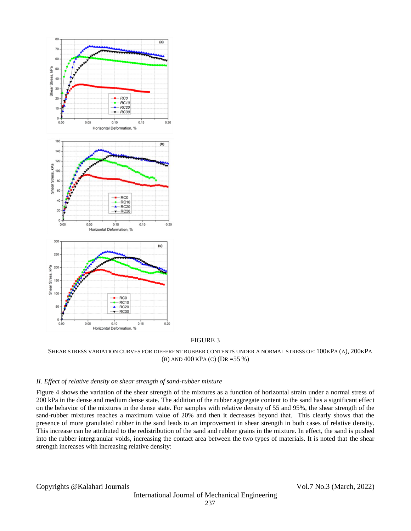

FIGURE 3

SHEAR STRESS VARIATION CURVES FOR DIFFERENT RUBBER CONTENTS UNDER A NORMAL STRESS OF: 100KPA (A), 200KPA (B) AND 400 KPA (C) (DR =55 %)

# *II. Effect of relative density on shear strength of sand-rubber mixture*

Figure 4 shows the variation of the shear strength of the mixtures as a function of horizontal strain under a normal stress of 200 kPa in the dense and medium dense state. The addition of the rubber aggregate content to the sand has a significant effect on the behavior of the mixtures in the dense state. For samples with relative density of 55 and 95%, the shear strength of the sand-rubber mixtures reaches a maximum value of 20% and then it decreases beyond that. This clearly shows that the presence of more granulated rubber in the sand leads to an improvement in shear strength in both cases of relative density. This increase can be attributed to the redistribution of the sand and rubber grains in the mixture. In effect, the sand is pushed into the rubber intergranular voids, increasing the contact area between the two types of materials. It is noted that the shear strength increases with increasing relative density: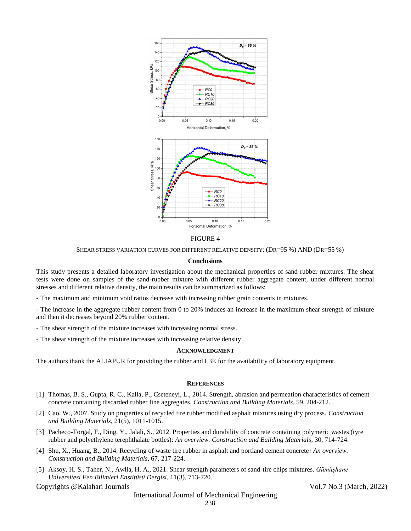

FIGURE 4

SHEAR STRESS VARIATION CURVES FOR DIFFERENT RELATIVE DENSITY: (DR=95 %) AND (DR=55 %)

## **Conclusions**

This study presents a detailed laboratory investigation about the mechanical properties of sand rubber mixtures. The shear tests were done on samples of the sand-rubber mixture with different rubber aggregate content, under different normal stresses and different relative density, the main results can be summarized as follows:

- The maximum and minimum void ratios decrease with increasing rubber grain contents in mixtures.

- The increase in the aggregate rubber content from 0 to 20% induces an increase in the maximum shear strength of mixture and then it decreases beyond 20% rubber content.

- The shear strength of the mixture increases with increasing normal stress.
- The shear strength of the mixture increases with increasing relative density

# **ACKNOWLEDGMENT**

The authors thank the ALIAPUR for providing the rubber and L3E for the availability of laboratory equipment.

## **REFERENCES**

- [1] Thomas, B. S., Gupta, R. C., Kalla, P., Cseteneyi, L., 2014. Strength, abrasion and permeation characteristics of cement concrete containing discarded rubber fine aggregates. *Construction and Building Materials*, 59, 204-212.
- [2] Cao, W., 2007. Study on properties of recycled tire rubber modified asphalt mixtures using dry process. *Construction and Building Materials*, 21(5), 1011-1015.
- [3] Pacheco-Torgal, F., Ding, Y., Jalali, S., 2012. Properties and durability of concrete containing polymeric wastes (tyre rubber and polyethylene terephthalate bottles): *An overview. Construction and Building Materials*, 30, 714-724.
- [4] Shu, X., Huang, B., 2014. Recycling of waste tire rubber in asphalt and portland cement concrete*: An overview. Construction and Building Materials*, 67, 217-224.
- [5] Aksoy, H. S., Taher, N., Awlla, H. A., 2021. Shear strength parameters of sand-tire chips mixtures. *Gümüşhane Üniversitesi Fen Bilimleri Enstitüsü Dergisi*, 11(3), 713-720.

Copyrights @Kalahari Journals Vol.7 No.3 (March, 2022)

International Journal of Mechanical Engineering